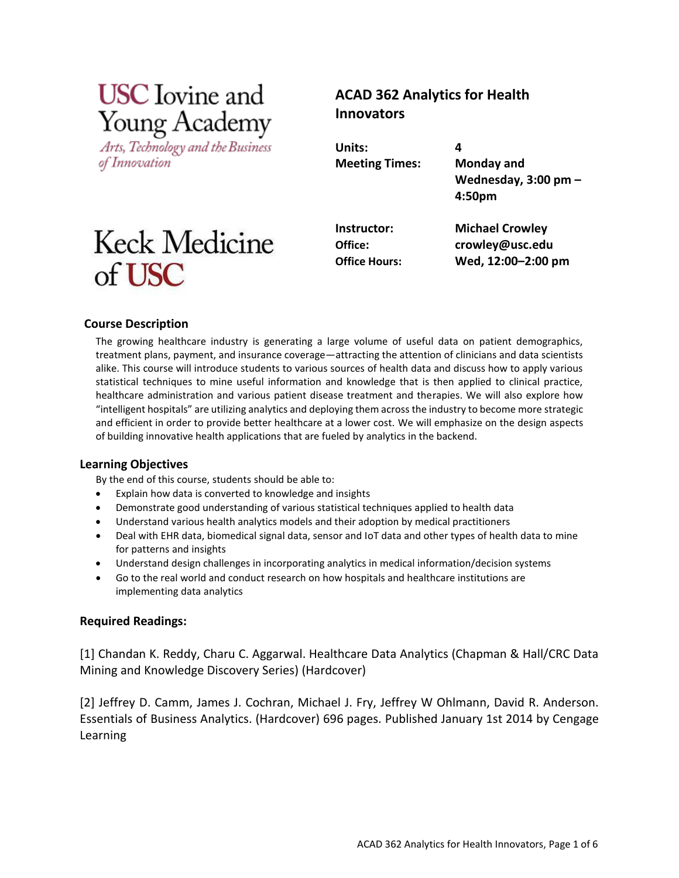# **USC** Iovine and Young Academy

Arts, Technology and the Business of Innovation

# **ACAD 362 Analytics for Health Innovators**

**Units: 4 Meeting Times: Monday and**

**Wednesday, 3:00 pm – 4:50pm**

# Keck Medicine of USC

**Instructor: Michael Crowley Office: [crowley@usc.edu](mailto:crowley@usc.edu) Office Hours: Wed, 12:00–2:00 pm**

# **Course Description**

The growing healthcare industry is generating a large volume of useful data on patient demographics, treatment plans, payment, and insurance coverage—attracting the attention of clinicians and data scientists alike. This course will introduce students to various sources of health data and discuss how to apply various statistical techniques to mine useful information and knowledge that is then applied to clinical practice, healthcare administration and various patient disease treatment and therapies. We will also explore how "intelligent hospitals" are utilizing analytics and deploying them across the industry to become more strategic and efficient in order to provide better healthcare at a lower cost. We will emphasize on the design aspects of building innovative health applications that are fueled by analytics in the backend.

# **Learning Objectives**

By the end of this course, students should be able to:

- Explain how data is converted to knowledge and insights
- Demonstrate good understanding of various statistical techniques applied to health data
- Understand various health analytics models and their adoption by medical practitioners
- Deal with EHR data, biomedical signal data, sensor and IoT data and other types of health data to mine for patterns and insights
- Understand design challenges in incorporating analytics in medical information/decision systems
- Go to the real world and conduct research on how hospitals and healthcare institutions are implementing data analytics

# **Required Readings:**

[1] Chandan K. Reddy, Charu C. Aggarwal. Healthcare Data Analytics (Chapman & Hall/CRC Data Mining and Knowledge Discovery Series) (Hardcover)

[2] Jeffrey D. Camm, James J. Cochran, Michael J. Fry, Jeffrey W Ohlmann, David R. Anderson. Essentials of Business Analytics. (Hardcover) 696 pages. Published January 1st 2014 by Cengage Learning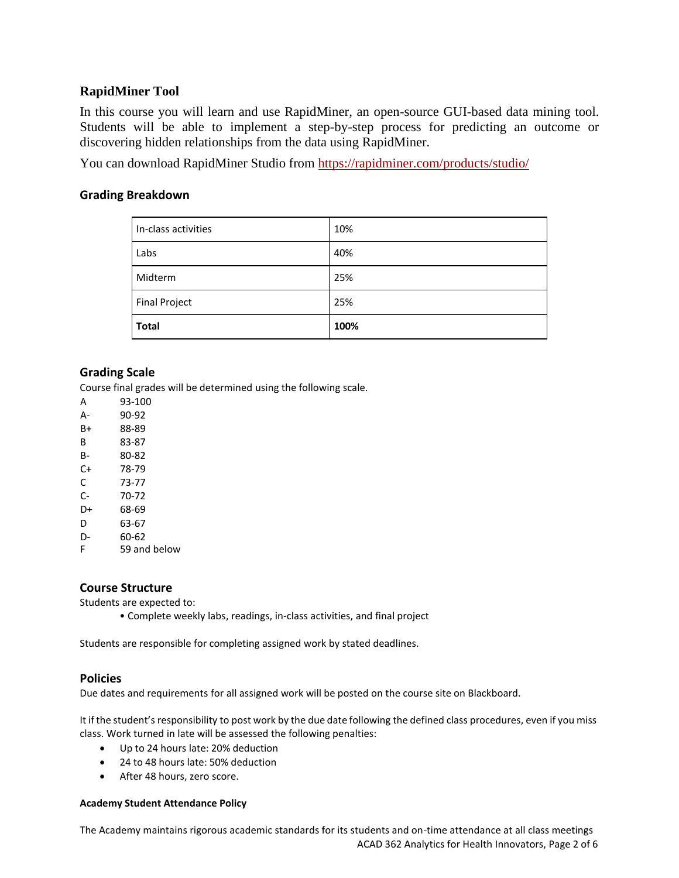# **RapidMiner Tool**

In this course you will learn and use RapidMiner, an open-source GUI-based data mining tool. Students will be able to implement a step-by-step process for predicting an outcome or discovering hidden relationships from the data using RapidMiner.

You can download RapidMiner Studio from <https://rapidminer.com/products/studio/>

# **Grading Breakdown**

| In-class activities  | 10%  |
|----------------------|------|
| Labs                 | 40%  |
| Midterm              | 25%  |
| <b>Final Project</b> | 25%  |
| <b>Total</b>         | 100% |

# **Grading Scale**

Course final grades will be determined using the following scale.

A 93-100 A- 90-92 B+ 88-89 B 83-87 B- 80-82 C+ 78-79 C 73-77 C- 70-72 D+ 68-69 D 63-67 D- 60-62 F 59 and below

## **Course Structure**

Students are expected to:

• Complete weekly labs, readings, in-class activities, and final project

Students are responsible for completing assigned work by stated deadlines.

## **Policies**

Due dates and requirements for all assigned work will be posted on the course site on Blackboard.

It if the student's responsibility to post work by the due date following the defined class procedures, even if you miss class. Work turned in late will be assessed the following penalties:

- Up to 24 hours late: 20% deduction
- 24 to 48 hours late: 50% deduction
- After 48 hours, zero score.

### **Academy Student Attendance Policy**

ACAD 362 Analytics for Health Innovators, Page 2 of 6 The Academy maintains rigorous academic standards for its students and on-time attendance at all class meetings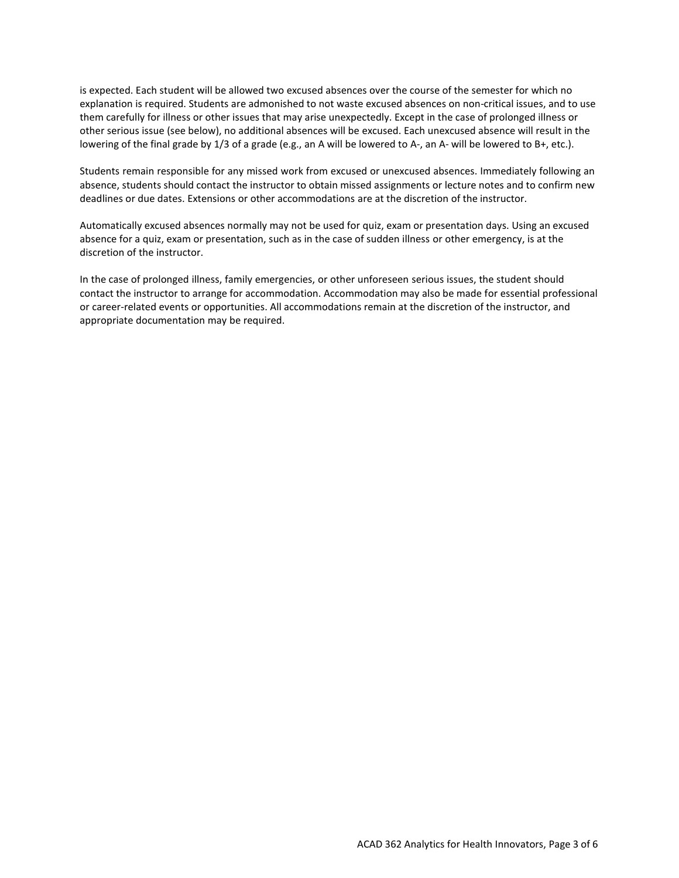is expected. Each student will be allowed two excused absences over the course of the semester for which no explanation is required. Students are admonished to not waste excused absences on non-critical issues, and to use them carefully for illness or other issues that may arise unexpectedly. Except in the case of prolonged illness or other serious issue (see below), no additional absences will be excused. Each unexcused absence will result in the lowering of the final grade by 1/3 of a grade (e.g., an A will be lowered to A-, an A- will be lowered to B+, etc.).

Students remain responsible for any missed work from excused or unexcused absences. Immediately following an absence, students should contact the instructor to obtain missed assignments or lecture notes and to confirm new deadlines or due dates. Extensions or other accommodations are at the discretion of the instructor.

Automatically excused absences normally may not be used for quiz, exam or presentation days. Using an excused absence for a quiz, exam or presentation, such as in the case of sudden illness or other emergency, is at the discretion of the instructor.

In the case of prolonged illness, family emergencies, or other unforeseen serious issues, the student should contact the instructor to arrange for accommodation. Accommodation may also be made for essential professional or career-related events or opportunities. All accommodations remain at the discretion of the instructor, and appropriate documentation may be required.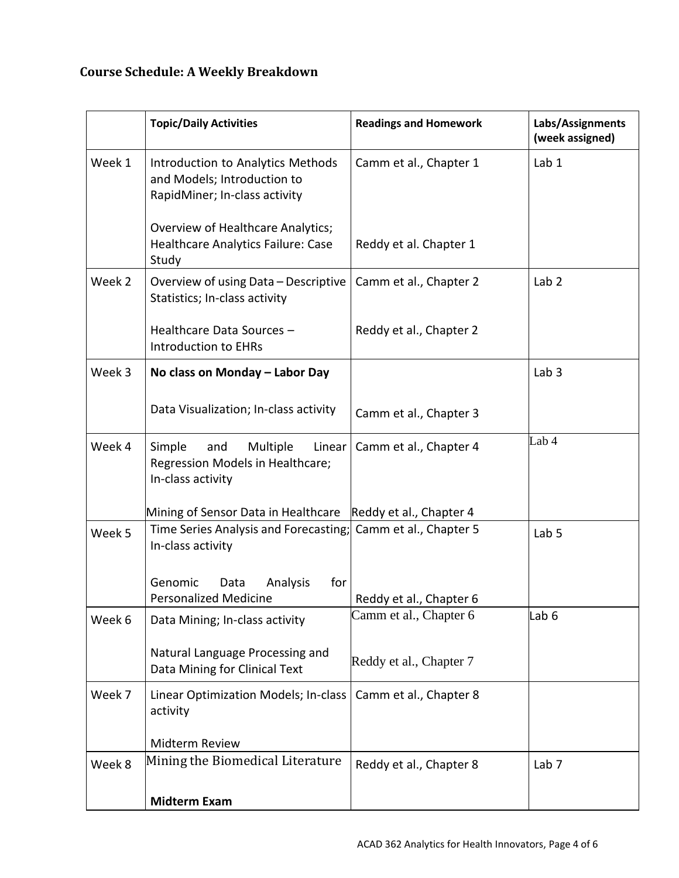# **Course Schedule: A Weekly Breakdown**

|        | <b>Topic/Daily Activities</b>                                                                     | <b>Readings and Homework</b> | Labs/Assignments<br>(week assigned) |
|--------|---------------------------------------------------------------------------------------------------|------------------------------|-------------------------------------|
| Week 1 | Introduction to Analytics Methods<br>and Models; Introduction to<br>RapidMiner; In-class activity | Camm et al., Chapter 1       | Lab 1                               |
|        | Overview of Healthcare Analytics;<br>Healthcare Analytics Failure: Case<br>Study                  | Reddy et al. Chapter 1       |                                     |
| Week 2 | Overview of using Data - Descriptive<br>Statistics; In-class activity                             | Camm et al., Chapter 2       | Lab <sub>2</sub>                    |
|        | Healthcare Data Sources -<br><b>Introduction to EHRs</b>                                          | Reddy et al., Chapter 2      |                                     |
| Week 3 | No class on Monday - Labor Day                                                                    |                              | Lab <sub>3</sub>                    |
|        | Data Visualization; In-class activity                                                             | Camm et al., Chapter 3       |                                     |
| Week 4 | Simple<br>Multiple<br>and<br>Linear<br>Regression Models in Healthcare;<br>In-class activity      | Camm et al., Chapter 4       | Lab 4                               |
|        | Mining of Sensor Data in Healthcare Reddy et al., Chapter 4                                       |                              |                                     |
| Week 5 | Time Series Analysis and Forecasting; Camm et al., Chapter 5<br>In-class activity                 |                              | Lab <sub>5</sub>                    |
|        | Genomic<br>Analysis<br>for<br>Data<br><b>Personalized Medicine</b>                                | Reddy et al., Chapter 6      |                                     |
| Week 6 | Data Mining; In-class activity                                                                    | Camm et al., Chapter 6       | Lab <sub>6</sub>                    |
|        | Natural Language Processing and<br>Data Mining for Clinical Text                                  | Reddy et al., Chapter 7      |                                     |
| Week 7 | Linear Optimization Models; In-class<br>activity                                                  | Camm et al., Chapter 8       |                                     |
|        | Midterm Review                                                                                    |                              |                                     |
| Week 8 | Mining the Biomedical Literature                                                                  | Reddy et al., Chapter 8      | Lab <sub>7</sub>                    |
|        | <b>Midterm Exam</b>                                                                               |                              |                                     |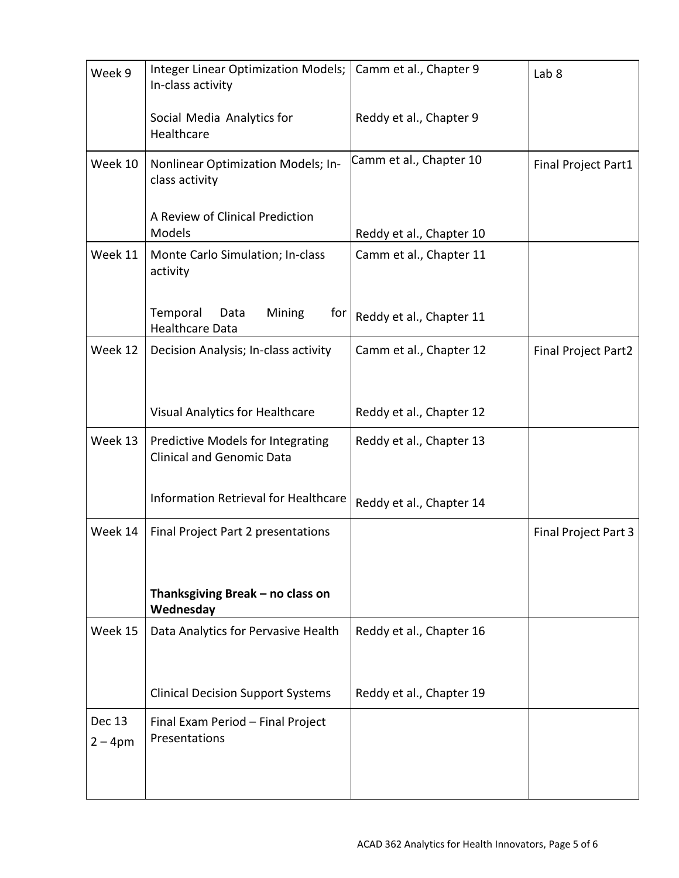| Week 9                     | Integer Linear Optimization Models;<br>In-class activity              | Camm et al., Chapter 9   | Lab <sub>8</sub>     |
|----------------------------|-----------------------------------------------------------------------|--------------------------|----------------------|
|                            | Social Media Analytics for<br>Healthcare                              | Reddy et al., Chapter 9  |                      |
| Week 10                    | Nonlinear Optimization Models; In-<br>class activity                  | Camm et al., Chapter 10  | Final Project Part1  |
|                            | A Review of Clinical Prediction<br>Models                             | Reddy et al., Chapter 10 |                      |
| Week 11                    | Monte Carlo Simulation; In-class<br>activity                          | Camm et al., Chapter 11  |                      |
|                            | Temporal<br>Mining<br>Data<br>for  <br><b>Healthcare Data</b>         | Reddy et al., Chapter 11 |                      |
| Week 12                    | Decision Analysis; In-class activity                                  | Camm et al., Chapter 12  | Final Project Part2  |
|                            | Visual Analytics for Healthcare                                       | Reddy et al., Chapter 12 |                      |
| Week 13                    | Predictive Models for Integrating<br><b>Clinical and Genomic Data</b> | Reddy et al., Chapter 13 |                      |
|                            | Information Retrieval for Healthcare                                  | Reddy et al., Chapter 14 |                      |
| Week 14                    | Final Project Part 2 presentations                                    |                          | Final Project Part 3 |
|                            | Thanksgiving Break - no class on<br>Wednesday                         |                          |                      |
| Week 15                    | Data Analytics for Pervasive Health                                   | Reddy et al., Chapter 16 |                      |
|                            | <b>Clinical Decision Support Systems</b>                              | Reddy et al., Chapter 19 |                      |
| <b>Dec 13</b><br>$2 - 4pm$ | Final Exam Period - Final Project<br>Presentations                    |                          |                      |
|                            |                                                                       |                          |                      |